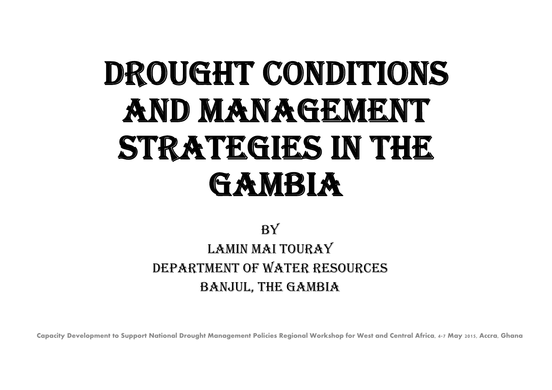# DROUGHT CONDITIONS AND MANAGEMENT STRATEGIES IN THE **GAMBIA**

#### **BY** LAMIN MAI TOURAY DEPARTMENT OF WATER RESOURCES BANJUL, THE GAMBIA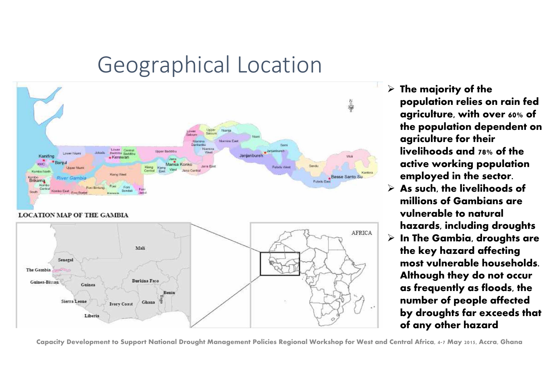# Geographical Location



 **The majority of the population relies on rain fed agriculture, with over 60% of the population dependent on agriculture for their livelihoods and 78% of the active working population employed in the sector.**

- **As such, the livelihoods of millions of Gambians are vulnerable to natural hazards, including droughts**
- **In The Gambia, droughts are the key hazard affecting most vulnerable households. Although they do not occur as frequently as floods, the number of people affected by droughts far exceeds that of any other hazard**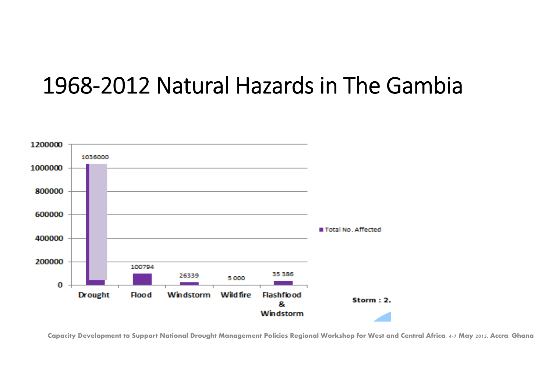## 1968‐2012 Natural Hazards in The Gambia

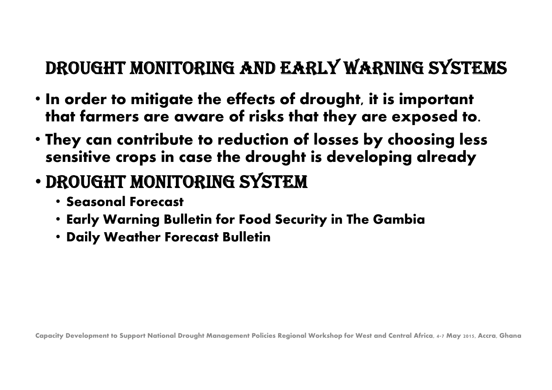### DROUGHT MONITORING AND EARLY WARNING SYSTEMS

- **In order to mitigate the effects of drought, it is important that farmers are aware of risks that they are exposed to.**
- **They can contribute to reduction of losses by choosing less sensitive crops in case the drought is developing already**
- • DROUGHT MONITORING SYSTEM
	- **Seasonal Forecast**
	- **Early Warning Bulletin for Food Security in The Gambia**
	- **Daily Weather Forecast Bulletin**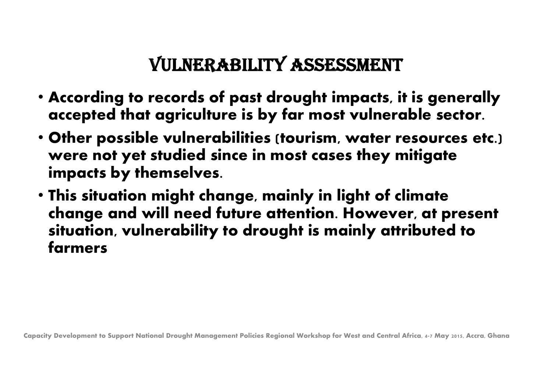#### VULNERABILITY ASSESSMENT

- **According to records of past drought impacts, it is generally accepted that agriculture is by far most vulnerable sector.**
- **Other possible vulnerabilities (tourism, water resources etc.) were not yet studied since in most cases they mitigate impacts by themselves.**
- **This situation might change, mainly in light of climate change and will need future attention. However, at present situation, vulnerability to drought is mainly attributed to farmers**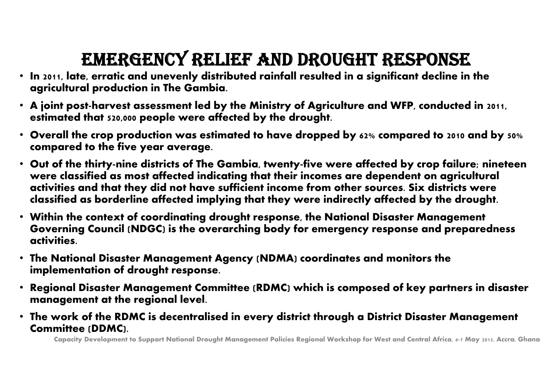## EMERGENCY RELIEF AND DROUGHT RESPONSE

- **In 2011, late, erratic and unevenly distributed rainfall resulted in a significant decline in the agricultural production in The Gambia.**
- **A joint post-harvest assessment led by the Ministry of Agriculture and WFP, conducted in 2011, estimated that 520,000 people were affected by the drought.**
- **Overall the crop production was estimated to have dropped by 62% compared to 2010 and by 50% compared to the five year average.**
- **Out of the thirty-nine districts of The Gambia, twenty-five were affected by crop failure; nineteen were classified as most affected indicating that their incomes are dependent on agricultural activities and that they did not have sufficient income from other sources. Six districts were classified as borderline affected implying that they were indirectly affected by the drought.**
- **Within the context of coordinating drought response, the National Disaster Management Governing Council (NDGC) is the overarching body for emergency response and preparedness activities.**
- **The National Disaster Management Agency (NDMA) coordinates and monitors the implementation of drought response.**
- • **Regional Disaster Management Committee (RDMC) which is composed of key partners in disaster management at the regional level.**
- **The work of the RDMC is decentralised in every district through a District Disaster Management Committee (DDMC).**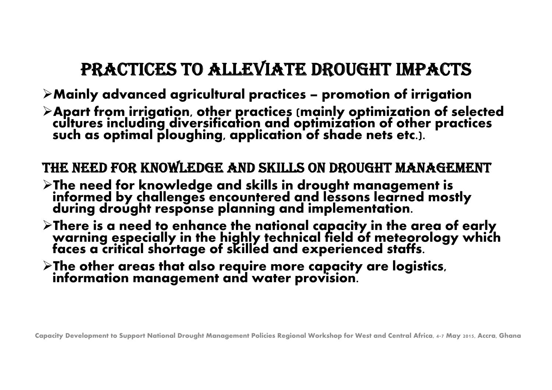### PRACTICES TO ALLEVIATE DROUGHT IMPACTS

- **Mainly advanced agricultural practices – promotion of irrigation**
- **Apart from irrigation, other practices (mainly optimization of selected cultures including diversification and optimization of other practices such as optimal ploughing, application of shade nets etc.).**

#### THE NEED FOR KNOWLEDGE AND SKILLS ON DROUGHT MANAGEMENT

- **The need for knowledge and skills in drought management is informed by challenges encountered and lessons learned mostly during drought response planning and implementation.**
- **There is a need to enhance the national capacity in the area of early warning especially in the highly technical field of meteorology which faces a critical shortage of skilled and experienced staffs.**
- **The other areas that also require more capacity are logistics, information management and water provision.**